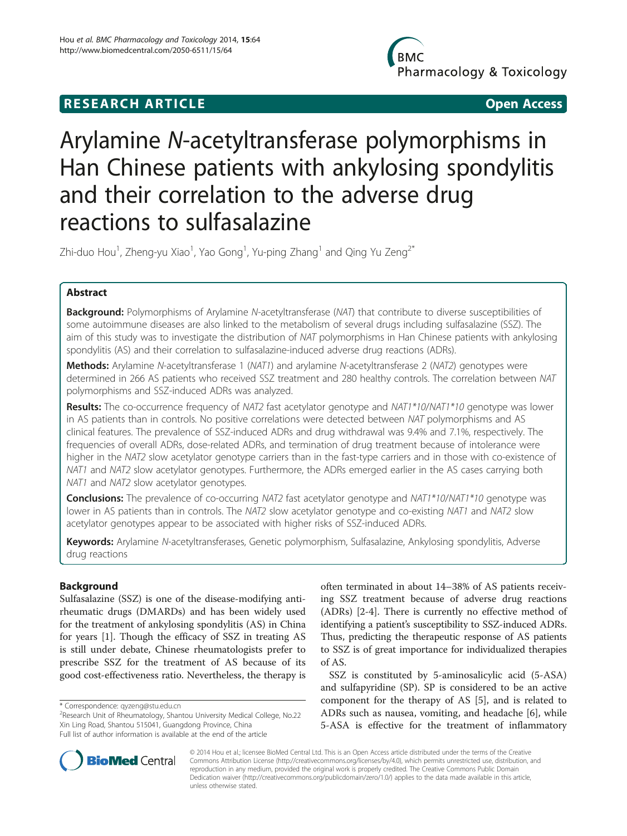# **RESEARCH ARTICLE Example 2018 12:00 Department of the Contract Open Access**

**BMC** Pharmacology & Toxicology

# Arylamine N-acetyltransferase polymorphisms in Han Chinese patients with ankylosing spondylitis and their correlation to the adverse drug reactions to sulfasalazine

Zhi-duo Hou $^1$ , Zheng-yu Xiao $^1$ , Yao Gong $^1$ , Yu-ping Zhang $^1$  and Qing Yu Zeng $^{2^\ast}$ 

# Abstract

**Background:** Polymorphisms of Arylamine N-acetyltransferase (NAT) that contribute to diverse susceptibilities of some autoimmune diseases are also linked to the metabolism of several drugs including sulfasalazine (SSZ). The aim of this study was to investigate the distribution of NAT polymorphisms in Han Chinese patients with ankylosing spondylitis (AS) and their correlation to sulfasalazine-induced adverse drug reactions (ADRs).

Methods: Arylamine N-acetyltransferase 1 (NAT1) and arylamine N-acetyltransferase 2 (NAT2) genotypes were determined in 266 AS patients who received SSZ treatment and 280 healthy controls. The correlation between NAT polymorphisms and SSZ-induced ADRs was analyzed.

Results: The co-occurrence frequency of NAT2 fast acetylator genotype and NAT1\*10/NAT1\*10 genotype was lower in AS patients than in controls. No positive correlations were detected between NAT polymorphisms and AS clinical features. The prevalence of SSZ-induced ADRs and drug withdrawal was 9.4% and 7.1%, respectively. The frequencies of overall ADRs, dose-related ADRs, and termination of drug treatment because of intolerance were higher in the NAT2 slow acetylator genotype carriers than in the fast-type carriers and in those with co-existence of NAT1 and NAT2 slow acetylator genotypes. Furthermore, the ADRs emerged earlier in the AS cases carrying both NAT1 and NAT2 slow acetylator genotypes.

Conclusions: The prevalence of co-occurring NAT2 fast acetylator genotype and NAT1\*10/NAT1\*10 genotype was lower in AS patients than in controls. The NAT2 slow acetylator genotype and co-existing NAT1 and NAT2 slow acetylator genotypes appear to be associated with higher risks of SSZ-induced ADRs.

Keywords: Arylamine N-acetyltransferases, Genetic polymorphism, Sulfasalazine, Ankylosing spondylitis, Adverse drug reactions

# Background

Sulfasalazine (SSZ) is one of the disease-modifying antirheumatic drugs (DMARDs) and has been widely used for the treatment of ankylosing spondylitis (AS) in China for years [[1](#page-6-0)]. Though the efficacy of SSZ in treating AS is still under debate, Chinese rheumatologists prefer to prescribe SSZ for the treatment of AS because of its good cost-effectiveness ratio. Nevertheless, the therapy is

often terminated in about 14–38% of AS patients receiving SSZ treatment because of adverse drug reactions (ADRs) [\[2-4](#page-6-0)]. There is currently no effective method of identifying a patient's susceptibility to SSZ-induced ADRs. Thus, predicting the therapeutic response of AS patients to SSZ is of great importance for individualized therapies of AS.

SSZ is constituted by 5-aminosalicylic acid (5-ASA) and sulfapyridine (SP). SP is considered to be an active component for the therapy of AS [\[5](#page-6-0)], and is related to ADRs such as nausea, vomiting, and headache [\[6](#page-6-0)], while 5-ASA is effective for the treatment of inflammatory



© 2014 Hou et al.; licensee BioMed Central Ltd. This is an Open Access article distributed under the terms of the Creative Commons Attribution License [\(http://creativecommons.org/licenses/by/4.0\)](http://creativecommons.org/licenses/by/4.0), which permits unrestricted use, distribution, and reproduction in any medium, provided the original work is properly credited. The Creative Commons Public Domain Dedication waiver [\(http://creativecommons.org/publicdomain/zero/1.0/](http://creativecommons.org/publicdomain/zero/1.0/)) applies to the data made available in this article, unless otherwise stated.

<sup>\*</sup> Correspondence: [qyzeng@stu.edu.cn](mailto:qyzeng@stu.edu.cn) <sup>2</sup>

<sup>&</sup>lt;sup>2</sup>Research Unit of Rheumatology, Shantou University Medical College, No.22 Xin Ling Road, Shantou 515041, Guangdong Province, China Full list of author information is available at the end of the article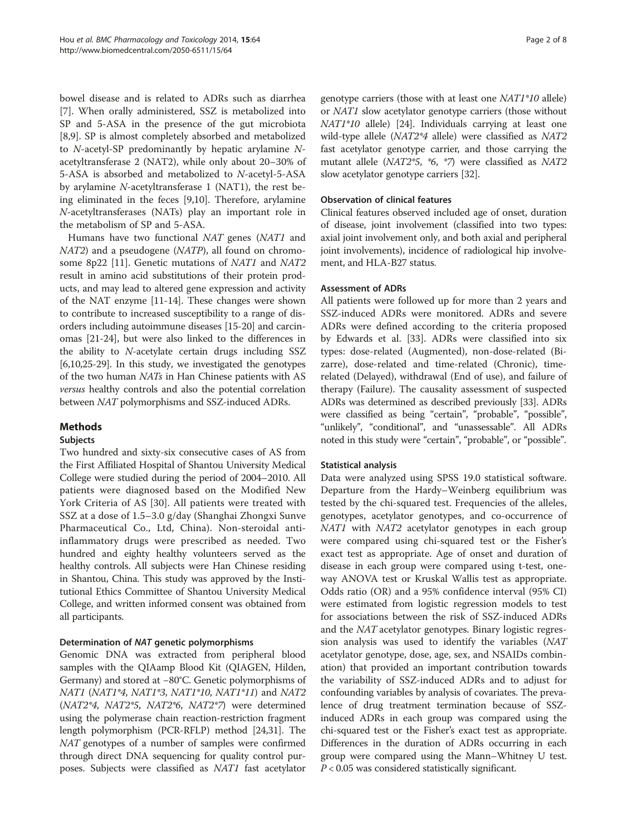bowel disease and is related to ADRs such as diarrhea [[7\]](#page-6-0). When orally administered, SSZ is metabolized into SP and 5-ASA in the presence of the gut microbiota [[8,9\]](#page-6-0). SP is almost completely absorbed and metabolized to N-acetyl-SP predominantly by hepatic arylamine Nacetyltransferase 2 (NAT2), while only about 20–30% of 5-ASA is absorbed and metabolized to N-acetyl-5-ASA by arylamine N-acetyltransferase 1 (NAT1), the rest being eliminated in the feces [\[9,10](#page-6-0)]. Therefore, arylamine N-acetyltransferases (NATs) play an important role in the metabolism of SP and 5-ASA.

Humans have two functional NAT genes (NAT1 and NAT2) and a pseudogene (NATP), all found on chromo-some 8p22 [[11\]](#page-6-0). Genetic mutations of NAT1 and NAT2 result in amino acid substitutions of their protein products, and may lead to altered gene expression and activity of the NAT enzyme [\[11-14](#page-6-0)]. These changes were shown to contribute to increased susceptibility to a range of disorders including autoimmune diseases [\[15](#page-6-0)-[20](#page-7-0)] and carcinomas [\[21-24\]](#page-7-0), but were also linked to the differences in the ability to N-acetylate certain drugs including SSZ [[6,10](#page-6-0)[,25-29](#page-7-0)]. In this study, we investigated the genotypes of the two human NATs in Han Chinese patients with AS versus healthy controls and also the potential correlation between NAT polymorphisms and SSZ-induced ADRs.

# Methods

# Subjects

Two hundred and sixty-six consecutive cases of AS from the First Affiliated Hospital of Shantou University Medical College were studied during the period of 2004–2010. All patients were diagnosed based on the Modified New York Criteria of AS [[30\]](#page-7-0). All patients were treated with SSZ at a dose of 1.5–3.0 g/day (Shanghai Zhongxi Sunve Pharmaceutical Co., Ltd, China). Non-steroidal antiinflammatory drugs were prescribed as needed. Two hundred and eighty healthy volunteers served as the healthy controls. All subjects were Han Chinese residing in Shantou, China. This study was approved by the Institutional Ethics Committee of Shantou University Medical College, and written informed consent was obtained from all participants.

# Determination of NAT genetic polymorphisms

Genomic DNA was extracted from peripheral blood samples with the QIAamp Blood Kit (QIAGEN, Hilden, Germany) and stored at −80°C. Genetic polymorphisms of NAT1 (NAT1\*4, NAT1\*3, NAT1\*10, NAT1\*11) and NAT2 (NAT2\*4, NAT2\*5, NAT2\*6, NAT2\*7) were determined using the polymerase chain reaction-restriction fragment length polymorphism (PCR-RFLP) method [\[24,31](#page-7-0)]. The NAT genotypes of a number of samples were confirmed through direct DNA sequencing for quality control purposes. Subjects were classified as NAT1 fast acetylator

genotype carriers (those with at least one NAT1\*10 allele) or NAT1 slow acetylator genotype carriers (those without NAT1\*10 allele) [\[24](#page-7-0)]. Individuals carrying at least one wild-type allele (NAT2\*4 allele) were classified as NAT2 fast acetylator genotype carrier, and those carrying the mutant allele (NAT2\*5, \*6, \*7) were classified as NAT2 slow acetylator genotype carriers [\[32\]](#page-7-0).

# Observation of clinical features

Clinical features observed included age of onset, duration of disease, joint involvement (classified into two types: axial joint involvement only, and both axial and peripheral joint involvements), incidence of radiological hip involvement, and HLA-B27 status.

# Assessment of ADRs

All patients were followed up for more than 2 years and SSZ-induced ADRs were monitored. ADRs and severe ADRs were defined according to the criteria proposed by Edwards et al. [[33\]](#page-7-0). ADRs were classified into six types: dose-related (Augmented), non-dose-related (Bizarre), dose-related and time-related (Chronic), timerelated (Delayed), withdrawal (End of use), and failure of therapy (Failure). The causality assessment of suspected ADRs was determined as described previously [\[33\]](#page-7-0). ADRs were classified as being "certain", "probable", "possible", "unlikely", "conditional", and "unassessable". All ADRs noted in this study were "certain", "probable", or "possible".

# Statistical analysis

Data were analyzed using SPSS 19.0 statistical software. Departure from the Hardy–Weinberg equilibrium was tested by the chi-squared test. Frequencies of the alleles, genotypes, acetylator genotypes, and co-occurrence of NAT1 with NAT2 acetylator genotypes in each group were compared using chi-squared test or the Fisher's exact test as appropriate. Age of onset and duration of disease in each group were compared using t-test, oneway ANOVA test or Kruskal Wallis test as appropriate. Odds ratio (OR) and a 95% confidence interval (95% CI) were estimated from logistic regression models to test for associations between the risk of SSZ-induced ADRs and the NAT acetylator genotypes. Binary logistic regression analysis was used to identify the variables (NAT acetylator genotype, dose, age, sex, and NSAIDs combination) that provided an important contribution towards the variability of SSZ-induced ADRs and to adjust for confounding variables by analysis of covariates. The prevalence of drug treatment termination because of SSZinduced ADRs in each group was compared using the chi-squared test or the Fisher's exact test as appropriate. Differences in the duration of ADRs occurring in each group were compared using the Mann–Whitney U test.  $P < 0.05$  was considered statistically significant.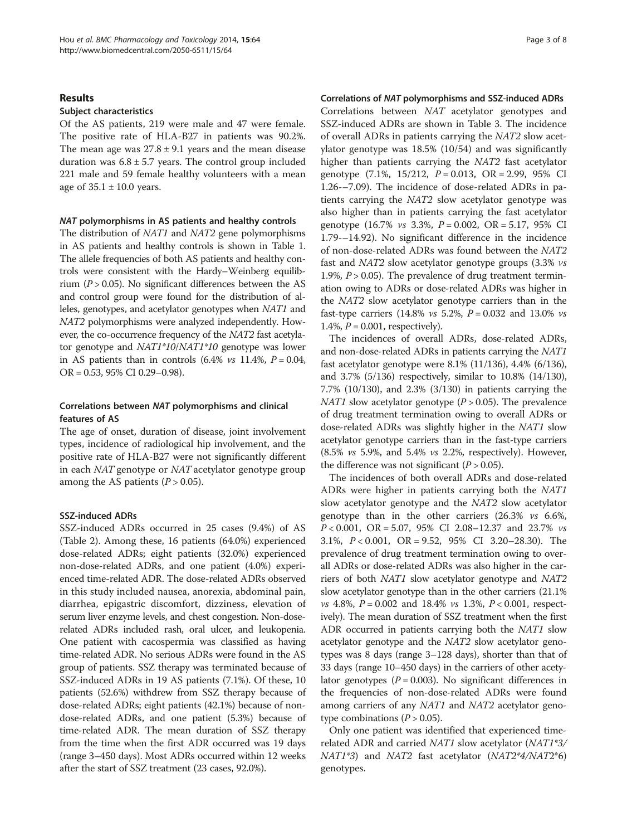#### Results

#### Subject characteristics

Of the AS patients, 219 were male and 47 were female. The positive rate of HLA-B27 in patients was 90.2%. The mean age was  $27.8 \pm 9.1$  years and the mean disease duration was  $6.8 \pm 5.7$  years. The control group included 221 male and 59 female healthy volunteers with a mean age of  $35.1 \pm 10.0$  years.

#### NAT polymorphisms in AS patients and healthy controls

The distribution of *NAT1* and *NAT2* gene polymorphisms in AS patients and healthy controls is shown in Table [1](#page-3-0). The allele frequencies of both AS patients and healthy controls were consistent with the Hardy–Weinberg equilibrium ( $P > 0.05$ ). No significant differences between the AS and control group were found for the distribution of alleles, genotypes, and acetylator genotypes when NAT1 and NAT2 polymorphisms were analyzed independently. However, the co-occurrence frequency of the NAT2 fast acetylator genotype and NAT1\*10/NAT1\*10 genotype was lower in AS patients than in controls  $(6.4\% \text{ vs } 11.4\%, P = 0.04,$ OR = 0.53, 95% CI 0.29–0.98).

# Correlations between NAT polymorphisms and clinical features of AS

The age of onset, duration of disease, joint involvement types, incidence of radiological hip involvement, and the positive rate of HLA-B27 were not significantly different in each NAT genotype or NAT acetylator genotype group among the AS patients  $(P > 0.05)$ .

# SSZ-induced ADRs

SSZ-induced ADRs occurred in 25 cases (9.4%) of AS (Table [2](#page-4-0)). Among these, 16 patients (64.0%) experienced dose-related ADRs; eight patients (32.0%) experienced non-dose-related ADRs, and one patient (4.0%) experienced time-related ADR. The dose-related ADRs observed in this study included nausea, anorexia, abdominal pain, diarrhea, epigastric discomfort, dizziness, elevation of serum liver enzyme levels, and chest congestion. Non-doserelated ADRs included rash, oral ulcer, and leukopenia. One patient with cacospermia was classified as having time-related ADR. No serious ADRs were found in the AS group of patients. SSZ therapy was terminated because of SSZ-induced ADRs in 19 AS patients (7.1%). Of these, 10 patients (52.6%) withdrew from SSZ therapy because of dose-related ADRs; eight patients (42.1%) because of nondose-related ADRs, and one patient (5.3%) because of time-related ADR. The mean duration of SSZ therapy from the time when the first ADR occurred was 19 days (range 3–450 days). Most ADRs occurred within 12 weeks after the start of SSZ treatment (23 cases, 92.0%).

#### Correlations of NAT polymorphisms and SSZ-induced ADRs

Correlations between NAT acetylator genotypes and SSZ-induced ADRs are shown in Table [3.](#page-5-0) The incidence of overall ADRs in patients carrying the NAT2 slow acetylator genotype was 18.5% (10/54) and was significantly higher than patients carrying the NAT2 fast acetylator genotype  $(7.1\%, 15/212, P = 0.013, OR = 2.99, 95\% \text{ CI}$ 1.26-–7.09). The incidence of dose-related ADRs in patients carrying the NAT2 slow acetylator genotype was also higher than in patients carrying the fast acetylator genotype  $(16.7\% \text{ vs } 3.3\%, P = 0.002, \text{ OR} = 5.17, 95\% \text{ CI}$ 1.79-–14.92). No significant difference in the incidence of non-dose-related ADRs was found between the NAT2 fast and NAT2 slow acetylator genotype groups (3.3% vs 1.9%,  $P > 0.05$ ). The prevalence of drug treatment termination owing to ADRs or dose-related ADRs was higher in the NAT2 slow acetylator genotype carriers than in the fast-type carriers (14.8%  $vs$  5.2%,  $P = 0.032$  and 13.0%  $vs$ 1.4%,  $P = 0.001$ , respectively).

The incidences of overall ADRs, dose-related ADRs, and non-dose-related ADRs in patients carrying the NAT1 fast acetylator genotype were 8.1% (11/136), 4.4% (6/136), and 3.7% (5/136) respectively, similar to 10.8% (14/130), 7.7% (10/130), and 2.3% (3/130) in patients carrying the NAT1 slow acetylator genotype ( $P > 0.05$ ). The prevalence of drug treatment termination owing to overall ADRs or dose-related ADRs was slightly higher in the NAT1 slow acetylator genotype carriers than in the fast-type carriers (8.5% vs 5.9%, and 5.4% vs 2.2%, respectively). However, the difference was not significant  $(P > 0.05)$ .

The incidences of both overall ADRs and dose-related ADRs were higher in patients carrying both the NAT1 slow acetylator genotype and the NAT2 slow acetylator genotype than in the other carriers (26.3% vs 6.6%, P < 0.001, OR = 5.07, 95% CI 2.08–12.37 and 23.7% vs 3.1%, P < 0.001, OR = 9.52, 95% CI 3.20–28.30). The prevalence of drug treatment termination owing to overall ADRs or dose-related ADRs was also higher in the carriers of both NAT1 slow acetylator genotype and NAT2 slow acetylator genotype than in the other carriers (21.1%  $vs$  4.8%,  $P = 0.002$  and 18.4%  $vs$  1.3%,  $P < 0.001$ , respectively). The mean duration of SSZ treatment when the first ADR occurred in patients carrying both the NAT1 slow acetylator genotype and the NAT2 slow acetylator genotypes was 8 days (range 3–128 days), shorter than that of 33 days (range 10–450 days) in the carriers of other acetylator genotypes ( $P = 0.003$ ). No significant differences in the frequencies of non-dose-related ADRs were found among carriers of any NAT1 and NAT2 acetylator genotype combinations  $(P > 0.05)$ .

Only one patient was identified that experienced timerelated ADR and carried NAT1 slow acetylator (NAT1\*3/ NAT1\*3) and NAT2 fast acetylator (NAT2\*4/NAT2\*6) genotypes.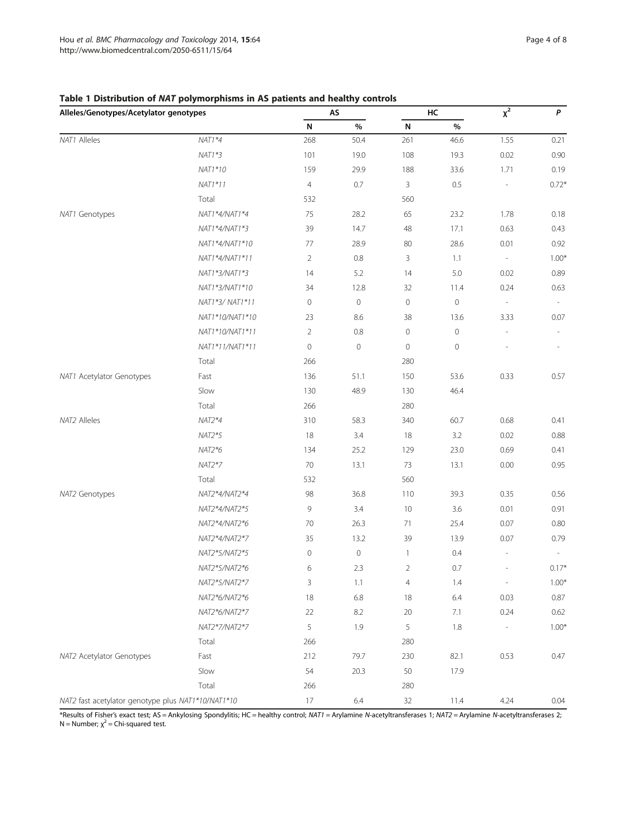| Alleles/Genotypes/Acetylator genotypes             |                 | AS             |                     | HC             |                     | $\overline{x^2}$         | P       |
|----------------------------------------------------|-----------------|----------------|---------------------|----------------|---------------------|--------------------------|---------|
|                                                    |                 | N              | $\%$                | N              | $\%$                |                          |         |
| NAT1 Alleles                                       | $NAT1*4$        | 268            | 50.4                | 261            | 46.6                | 1.55                     | 0.21    |
|                                                    | $NAT1*3$        | 101            | 19.0                | 108            | 19.3                | 0.02                     | 0.90    |
|                                                    | NAT1*10         | 159            | 29.9                | 188            | 33.6                | 1.71                     | 0.19    |
|                                                    | $NAT1*11$       | $\overline{4}$ | 0.7                 | 3              | 0.5                 | $\overline{\phantom{a}}$ | $0.72*$ |
|                                                    | Total           | 532            |                     | 560            |                     |                          |         |
| NAT1 Genotypes                                     | NAT1*4/NAT1*4   | 75             | 28.2                | 65             | 23.2                | 1.78                     | 0.18    |
|                                                    | NAT1*4/NAT1*3   | 39             | 14.7                | 48             | 17.1                | 0.63                     | 0.43    |
|                                                    | NAT1*4/NAT1*10  | 77             | 28.9                | 80             | 28.6                | 0.01                     | 0.92    |
|                                                    | NAT1*4/NAT1*11  | 2              | 0.8                 | 3              | 1.1                 | $\overline{\phantom{a}}$ | $1.00*$ |
|                                                    | NAT1*3/NAT1*3   | 14             | 5.2                 | 14             | 5.0                 | 0.02                     | 0.89    |
|                                                    | NAT1*3/NAT1*10  | 34             | 12.8                | 32             | 11.4                | 0.24                     | 0.63    |
|                                                    | NAT1*3/ NAT1*11 | 0              | $\mathbf 0$         | $\mathbf 0$    | $\circ$             | $\overline{\phantom{a}}$ |         |
|                                                    | NAT1*10/NAT1*10 | 23             | 8.6                 | 38             | 13.6                | 3.33                     | 0.07    |
|                                                    | NAT1*10/NAT1*11 | $\overline{2}$ | 0.8                 | $\mathbb O$    | $\mathsf{O}\xspace$ | $\overline{\phantom{m}}$ |         |
|                                                    | NAT1*11/NAT1*11 | $\circ$        | $\mathsf{O}\xspace$ | $\mathbf 0$    | $\mathbf 0$         |                          |         |
|                                                    | Total           | 266            |                     | 280            |                     |                          |         |
| NAT1 Acetylator Genotypes                          | Fast            | 136            | 51.1                | 150            | 53.6                | 0.33                     | 0.57    |
|                                                    | Slow            | 130            | 48.9                | 130            | 46.4                |                          |         |
|                                                    | Total           | 266            |                     | 280            |                     |                          |         |
| NAT2 Alleles                                       | $NAT2*4$        | 310            | 58.3                | 340            | 60.7                | 0.68                     | 0.41    |
|                                                    | $NAT2*5$        | 18             | 3.4                 | 18             | 3.2                 | 0.02                     | 0.88    |
|                                                    | $NAT2*6$        | 134            | 25.2                | 129            | 23.0                | 0.69                     | 0.41    |
|                                                    | $NAT2*7$        | 70             | 13.1                | 73             | 13.1                | 0.00                     | 0.95    |
|                                                    | Total           | 532            |                     | 560            |                     |                          |         |
| NAT2 Genotypes                                     | NAT2*4/NAT2*4   | 98             | 36.8                | 110            | 39.3                | 0.35                     | 0.56    |
|                                                    | NAT2*4/NAT2*5   | 9              | 3.4                 | 10             | 3.6                 | 0.01                     | 0.91    |
|                                                    | NAT2*4/NAT2*6   | 70             | 26.3                | 71             | 25.4                | 0.07                     | 0.80    |
|                                                    | NAT2*4/NAT2*7   | 35             | 13.2                | 39             | 13.9                | 0.07                     | 0.79    |
|                                                    | NAT2*5/NAT2*5   | $\circ$        | 0                   | $\mathbf{1}$   | 0.4                 | $\overline{\phantom{a}}$ |         |
|                                                    | NAT2*5/NAT2*6   | 6              | 2.3                 | $\overline{2}$ | 0.7                 |                          | $0.17*$ |
|                                                    | NAT2*5/NAT2*7   | 3              | 1.1                 | $\overline{4}$ | 1.4                 | $\overline{\phantom{a}}$ | $1.00*$ |
|                                                    | NAT2*6/NAT2*6   | 18             | 6.8                 | 18             | $6.4$               | 0.03                     | 0.87    |
|                                                    | NAT2*6/NAT2*7   | 22             | 8.2                 | 20             | 7.1                 | 0.24                     | 0.62    |
|                                                    | NAT2*7/NAT2*7   | 5              | 1.9                 | 5              | 1.8                 |                          | $1.00*$ |
|                                                    | Total           | 266            |                     | 280            |                     |                          |         |
| NAT2 Acetylator Genotypes                          | Fast            | 212            | 79.7                | 230            | 82.1                | 0.53                     | 0.47    |
|                                                    | Slow            | 54             | 20.3                | 50             | 17.9                |                          |         |
|                                                    | Total           | 266            |                     | 280            |                     |                          |         |
| NAT2 fast acetylator genotype plus NAT1*10/NAT1*10 |                 | 17             | 6.4                 | $32\,$         | 11.4                | 4.24                     | 0.04    |

# <span id="page-3-0"></span>Table 1 Distribution of NAT polymorphisms in AS patients and healthy controls

\*Results of Fisher's exact test; AS = Ankylosing Spondylitis; HC = healthy control; NAT1 = Arylamine N-acetyltransferases 1; NAT2 = Arylamine N-acetyltransferases 2;  $N =$  Number;  $\chi^2 =$  Chi-squared test.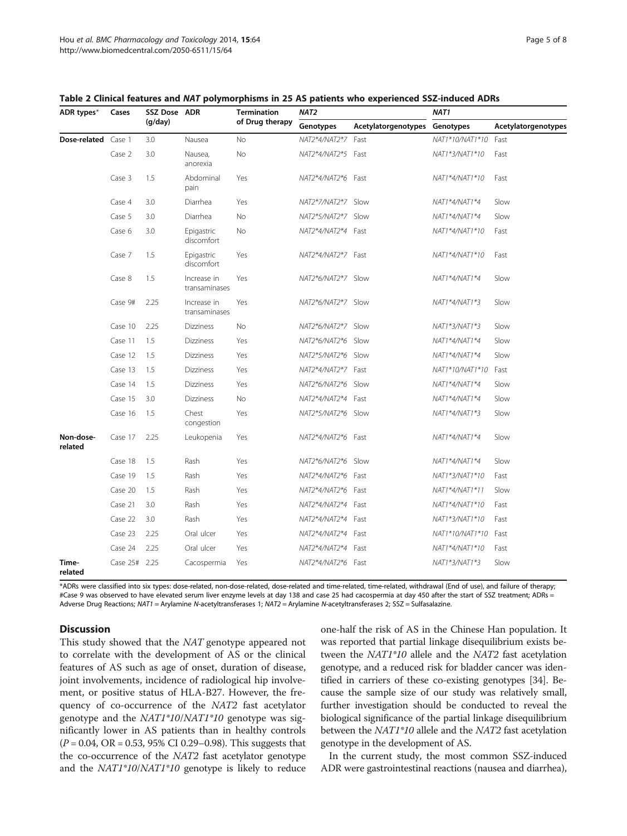| ADR types*           | Cases         | SSZ Dose ADR<br>(q/day) |                              | <b>Termination</b><br>of Drug therapy | NAT <sub>2</sub>   |                     | NAT <sub>1</sub> |                     |
|----------------------|---------------|-------------------------|------------------------------|---------------------------------------|--------------------|---------------------|------------------|---------------------|
|                      |               |                         |                              |                                       | Genotypes          | Acetylatorgenotypes | Genotypes        | Acetylatorgenotypes |
| Dose-related Case 1  |               | 3.0                     | Nausea                       | No                                    | NAT2*4/NAT2*7 Fast |                     | NAT1*10/NAT1*10  | Fast                |
|                      | Case 2        | 3.0                     | Nausea,<br>anorexia          | <b>No</b>                             | NAT2*4/NAT2*5 Fast |                     | NAT1*3/NAT1*10   | Fast                |
|                      | Case 3        | 1.5                     | Abdominal<br>pain            | Yes                                   | NAT2*4/NAT2*6 Fast |                     | NAT1*4/NAT1*10   | Fast                |
|                      | Case 4        | 3.0                     | Diarrhea                     | Yes                                   | NAT2*7/NAT2*7 Slow |                     | NAT1*4/NAT1*4    | Slow                |
|                      | Case 5        | 3.0                     | Diarrhea                     | No                                    | NAT2*5/NAT2*7 Slow |                     | NAT1*4/NAT1*4    | Slow                |
|                      | Case 6        | 3.0                     | Epigastric<br>discomfort     | No                                    | NAT2*4/NAT2*4      | Fast                | NAT1*4/NAT1*10   | Fast                |
|                      | Case 7        | 1.5                     | Epigastric<br>discomfort     | Yes                                   | NAT2*4/NAT2*7 Fast |                     | NAT1*4/NAT1*10   | Fast                |
|                      | Case 8        | 1.5                     | Increase in<br>transaminases | Yes                                   | NAT2*6/NAT2*7 Slow |                     | NAT1*4/NAT1*4    | Slow                |
|                      | Case 9#       | 2.25                    | Increase in<br>transaminases | Yes                                   | NAT2*6/NAT2*7 Slow |                     | NAT1*4/NAT1*3    | Slow                |
|                      | Case 10       | 2.25                    | <b>Dizziness</b>             | No                                    | NAT2*6/NAT2*7 Slow |                     | NAT1*3/NAT1*3    | Slow                |
|                      | Case 11       | 1.5                     | Dizziness                    | Yes                                   | NAT2*6/NAT2*6      | Slow                | NAT1*4/NAT1*4    | Slow                |
|                      | Case 12       | 1.5                     | <b>Dizziness</b>             | Yes                                   | NAT2*5/NAT2*6      | Slow                | NAT1*4/NAT1*4    | Slow                |
|                      | Case 13       | 1.5                     | Dizziness                    | Yes                                   | NAT2*4/NAT2*7 Fast |                     | NAT1*10/NAT1*10  | Fast                |
|                      | Case 14       | 1.5                     | <b>Dizziness</b>             | Yes                                   | NAT2*6/NAT2*6 Slow |                     | NAT1*4/NAT1*4    | Slow                |
|                      | Case 15       | 3.0                     | <b>Dizziness</b>             | <b>No</b>                             | NAT2*4/NAT2*4      | Fast                | NAT1*4/NAT1*4    | Slow                |
|                      | Case 16       | 1.5                     | Chest<br>congestion          | Yes                                   | NAT2*5/NAT2*6      | Slow                | NAT1*4/NAT1*3    | Slow                |
| Non-dose-<br>related | Case 17       | 2.25                    | Leukopenia                   | Yes                                   | NAT2*4/NAT2*6      | Fast                | NAT1*4/NAT1*4    | Slow                |
|                      | Case 18       | 1.5                     | Rash                         | Yes                                   | NAT2*6/NAT2*6      | Slow                | NAT1*4/NAT1*4    | Slow                |
|                      | Case 19       | 1.5                     | Rash                         | Yes                                   | NAT2*4/NAT2*6      | Fast                | NAT1*3/NAT1*10   | Fast                |
|                      | Case 20       | 1.5                     | Rash                         | Yes                                   | NAT2*4/NAT2*6      | Fast                | NAT1*4/NAT1*11   | Slow                |
|                      | Case 21       | 3.0                     | Rash                         | Yes                                   | NAT2*4/NAT2*4      | Fast                | NAT1*4/NAT1*10   | Fast                |
|                      | Case 22       | 3.0                     | Rash                         | Yes                                   | NAT2*4/NAT2*4      | Fast                | NAT1*3/NAT1*10   | Fast                |
|                      | Case 23       | 2.25                    | Oral ulcer                   | Yes                                   | NAT2*4/NAT2*4      | Fast                | NAT1*10/NAT1*10  | Fast                |
|                      | Case 24       | 2.25                    | Oral ulcer                   | Yes                                   | NAT2*4/NAT2*4      | Fast                | NAT1*4/NAT1*10   | Fast                |
| Time-<br>related     | Case 25# 2.25 |                         | Cacospermia                  | Yes                                   | NAT2*4/NAT2*6      | Fast                | NAT1*3/NAT1*3    | Slow                |

<span id="page-4-0"></span>Table 2 Clinical features and NAT polymorphisms in 25 AS patients who experienced SSZ-induced ADRs

\*ADRs were classified into six types: dose-related, non-dose-related, dose-related and time-related, time-related, withdrawal (End of use), and failure of therapy; #Case 9 was observed to have elevated serum liver enzyme levels at day 138 and case 25 had cacospermia at day 450 after the start of SSZ treatment; ADRs = Adverse Drug Reactions; NAT1 = Arylamine N-acetyltransferases 1; NAT2 = Arylamine N-acetyltransferases 2; SSZ = Sulfasalazine.

# **Discussion**

This study showed that the NAT genotype appeared not to correlate with the development of AS or the clinical features of AS such as age of onset, duration of disease, joint involvements, incidence of radiological hip involvement, or positive status of HLA-B27. However, the frequency of co-occurrence of the NAT2 fast acetylator genotype and the NAT1\*10/NAT1\*10 genotype was significantly lower in AS patients than in healthy controls  $(P = 0.04, \text{ OR } = 0.53, 95\% \text{ CI } 0.29 - 0.98$ ). This suggests that the co-occurrence of the NAT2 fast acetylator genotype and the NAT1\*10/NAT1\*10 genotype is likely to reduce one-half the risk of AS in the Chinese Han population. It was reported that partial linkage disequilibrium exists between the NAT1\*10 allele and the NAT2 fast acetylation genotype, and a reduced risk for bladder cancer was identified in carriers of these co-existing genotypes [\[34\]](#page-7-0). Because the sample size of our study was relatively small, further investigation should be conducted to reveal the biological significance of the partial linkage disequilibrium between the NAT1\*10 allele and the NAT2 fast acetylation genotype in the development of AS.

In the current study, the most common SSZ-induced ADR were gastrointestinal reactions (nausea and diarrhea),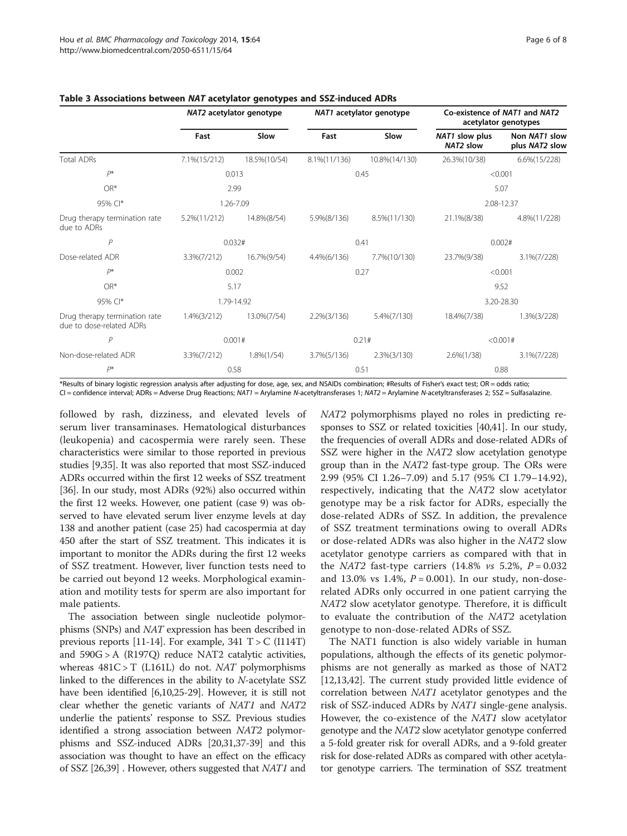|                                                           | NAT2 acetylator genotype |               | NAT1 acetylator genotype |                | Co-existence of NAT1 and NAT2<br>acetylator genotypes |                                 |  |
|-----------------------------------------------------------|--------------------------|---------------|--------------------------|----------------|-------------------------------------------------------|---------------------------------|--|
|                                                           | Fast                     | Slow          | Fast                     | Slow           | NAT1 slow plus<br>NAT2 slow                           | Non NAT1 slow<br>plus NAT2 slow |  |
| <b>Total ADRs</b>                                         | 7.1% (15/212)            | 18.5%(10/54)  | 8.1%(11/136)             | 10.8%(14/130)  | 26.3%(10/38)                                          | $6.6\%(15/228)$                 |  |
| $P^*$                                                     | 0.013                    |               | 0.45                     |                | < 0.001                                               |                                 |  |
| OR*                                                       | 2.99                     |               |                          |                |                                                       | 5.07                            |  |
| 95% CI*                                                   |                          | 1.26-7.09     |                          |                |                                                       | 2.08-12.37                      |  |
| Drug therapy termination rate<br>due to ADRs              | 5.2%(11/212)             | 14.8%(8/54)   | 5.9%(8/136)              | 8.5%(11/130)   | 21.1%(8/38)                                           | 4.8%(11/228)                    |  |
| P                                                         | 0.032#                   |               | 0.41                     |                | 0.002#                                                |                                 |  |
| Dose-related ADR                                          | 3.3%(7/212)              | 16.7%(9/54)   | 4.4%(6/136)              | 7.7% (10/130)  | 23.7%(9/38)                                           | 3.1%(7/228)                     |  |
| $P^*$                                                     | 0.002                    |               | 0.27                     |                | < 0.001                                               |                                 |  |
| OR*                                                       |                          | 5.17          |                          |                | 9.52                                                  |                                 |  |
| 95% CI*                                                   | 1.79-14.92               |               |                          |                | 3.20-28.30                                            |                                 |  |
| Drug therapy termination rate<br>due to dose-related ADRs | $1.4\%(3/212)$           | 13.0%(7/54)   | $2.2\%(3/136)$           | 5.4%(7/130)    | 18.4%(7/38)                                           | $1.3\%(3/228)$                  |  |
| P                                                         | 0.001#                   |               | 0.21#                    |                | < 0.001#                                              |                                 |  |
| Non-dose-related ADR                                      | $3.3\%(7/212)$           | $1.8\%(1/54)$ | 3.7%(5/136)              | $2.3\%(3/130)$ | $2.6\%(1/38)$                                         | 3.1%(7/228)                     |  |
| p*                                                        | 0.58                     |               | 0.51                     |                | 0.88                                                  |                                 |  |

# <span id="page-5-0"></span>Table 3 Associations between NAT acetylator genotypes and SSZ-induced ADRs

\*Results of binary logistic regression analysis after adjusting for dose, age, sex, and NSAIDs combination; #Results of Fisher's exact test; OR = odds ratio; CI = confidence interval; ADRs = Adverse Drug Reactions; NAT1 = Arylamine N-acetyltransferases 1; NAT2 = Arylamine N-acetyltransferases 2; SSZ = Sulfasalazine.

followed by rash, dizziness, and elevated levels of serum liver transaminases. Hematological disturbances (leukopenia) and cacospermia were rarely seen. These characteristics were similar to those reported in previous studies [\[9](#page-6-0)[,35\]](#page-7-0). It was also reported that most SSZ-induced ADRs occurred within the first 12 weeks of SSZ treatment [[36](#page-7-0)]. In our study, most ADRs (92%) also occurred within the first 12 weeks. However, one patient (case 9) was observed to have elevated serum liver enzyme levels at day 138 and another patient (case 25) had cacospermia at day 450 after the start of SSZ treatment. This indicates it is important to monitor the ADRs during the first 12 weeks of SSZ treatment. However, liver function tests need to be carried out beyond 12 weeks. Morphological examination and motility tests for sperm are also important for male patients.

The association between single nucleotide polymorphisms (SNPs) and NAT expression has been described in previous reports  $[11-14]$ . For example, 341 T > C (I114T) and 590G > A (R197Q) reduce NAT2 catalytic activities, whereas  $481C > T$  (L161L) do not. *NAT* polymorphisms linked to the differences in the ability to N-acetylate SSZ have been identified [[6,10](#page-6-0)[,25-29](#page-7-0)]. However, it is still not clear whether the genetic variants of NAT1 and NAT2 underlie the patients' response to SSZ. Previous studies identified a strong association between NAT2 polymorphisms and SSZ-induced ADRs [[20,31,37-39\]](#page-7-0) and this association was thought to have an effect on the efficacy of SSZ [\[26,39](#page-7-0)] . However, others suggested that NAT1 and NAT2 polymorphisms played no roles in predicting responses to SSZ or related toxicities [\[40,41\]](#page-7-0). In our study, the frequencies of overall ADRs and dose-related ADRs of SSZ were higher in the NAT2 slow acetylation genotype group than in the NAT2 fast-type group. The ORs were 2.99 (95% CI 1.26–7.09) and 5.17 (95% CI 1.79–14.92), respectively, indicating that the NAT2 slow acetylator genotype may be a risk factor for ADRs, especially the dose-related ADRs of SSZ. In addition, the prevalence of SSZ treatment terminations owing to overall ADRs or dose-related ADRs was also higher in the NAT2 slow acetylator genotype carriers as compared with that in the NAT2 fast-type carriers  $(14.8\% \text{ vs } 5.2\% , P = 0.032)$ and 13.0% vs 1.4%,  $P = 0.001$ ). In our study, non-doserelated ADRs only occurred in one patient carrying the NAT2 slow acetylator genotype. Therefore, it is difficult to evaluate the contribution of the NAT2 acetylation genotype to non-dose-related ADRs of SSZ.

The NAT1 function is also widely variable in human populations, although the effects of its genetic polymorphisms are not generally as marked as those of NAT2 [[12,13,](#page-6-0)[42\]](#page-7-0). The current study provided little evidence of correlation between NAT1 acetylator genotypes and the risk of SSZ-induced ADRs by NAT1 single-gene analysis. However, the co-existence of the NAT1 slow acetylator genotype and the NAT2 slow acetylator genotype conferred a 5-fold greater risk for overall ADRs, and a 9-fold greater risk for dose-related ADRs as compared with other acetylator genotype carriers. The termination of SSZ treatment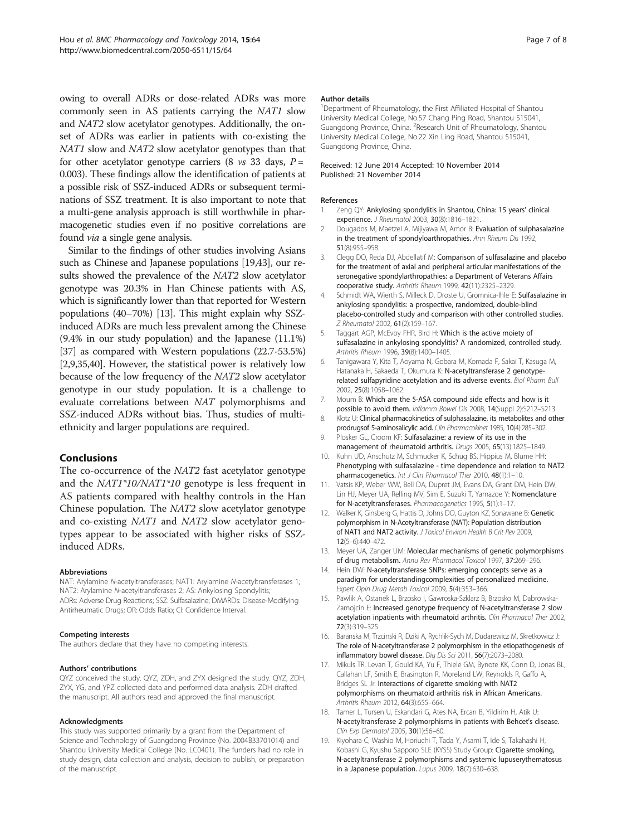<span id="page-6-0"></span>owing to overall ADRs or dose-related ADRs was more commonly seen in AS patients carrying the NAT1 slow and NAT2 slow acetylator genotypes. Additionally, the onset of ADRs was earlier in patients with co-existing the NAT1 slow and NAT2 slow acetylator genotypes than that for other acetylator genotype carriers (8  $\nu$ s 33 days,  $P =$ 0.003). These findings allow the identification of patients at a possible risk of SSZ-induced ADRs or subsequent terminations of SSZ treatment. It is also important to note that a multi-gene analysis approach is still worthwhile in pharmacogenetic studies even if no positive correlations are found via a single gene analysis.

Similar to the findings of other studies involving Asians such as Chinese and Japanese populations [19[,43\]](#page-7-0), our results showed the prevalence of the NAT2 slow acetylator genotype was 20.3% in Han Chinese patients with AS, which is significantly lower than that reported for Western populations (40–70%) [13]. This might explain why SSZinduced ADRs are much less prevalent among the Chinese (9.4% in our study population) and the Japanese (11.1%) [[37](#page-7-0)] as compared with Western populations (22.7-53.5%) [2,9[,35,40\]](#page-7-0). However, the statistical power is relatively low because of the low frequency of the NAT2 slow acetylator genotype in our study population. It is a challenge to evaluate correlations between NAT polymorphisms and SSZ-induced ADRs without bias. Thus, studies of multiethnicity and larger populations are required.

# Conclusions

The co-occurrence of the NAT2 fast acetylator genotype and the NAT1\*10/NAT1\*10 genotype is less frequent in AS patients compared with healthy controls in the Han Chinese population. The NAT2 slow acetylator genotype and co-existing NAT1 and NAT2 slow acetylator genotypes appear to be associated with higher risks of SSZinduced ADRs.

#### Abbreviations

NAT: Arylamine N-acetyltransferases; NAT1: Arylamine N-acetyltransferases 1; NAT2: Arylamine N-acetyltransferases 2; AS: Ankylosing Spondylitis; ADRs: Adverse Drug Reactions; SSZ: Sulfasalazine; DMARDs: Disease-Modifying Antirheumatic Drugs; OR: Odds Ratio; CI: Confidence Interval.

#### Competing interests

The authors declare that they have no competing interests.

#### Authors' contributions

QYZ conceived the study. QYZ, ZDH, and ZYX designed the study. QYZ, ZDH, ZYX, YG, and YPZ collected data and performed data analysis. ZDH drafted the manuscript. All authors read and approved the final manuscript.

#### Acknowledgments

This study was supported primarily by a grant from the Department of Science and Technology of Guangdong Province (No. 2004B33701014) and Shantou University Medical College (No. LC0401). The funders had no role in study design, data collection and analysis, decision to publish, or preparation of the manuscript.

#### Author details

<sup>1</sup>Department of Rheumatology, the First Affiliated Hospital of Shantou University Medical College, No.57 Chang Ping Road, Shantou 515041, Guangdong Province, China. <sup>2</sup>Research Unit of Rheumatology, Shantou University Medical College, No.22 Xin Ling Road, Shantou 515041, Guangdong Province, China.

#### Received: 12 June 2014 Accepted: 10 November 2014 Published: 21 November 2014

#### References

- 1. Zeng QY: Ankylosing spondylitis in Shantou, China: 15 years' clinical experience. J Rheumatol 2003, 30(8):1816–1821.
- 2. Dougados M, Maetzel A, Mijiyawa M, Amor B: Evaluation of sulphasalazine in the treatment of spondyloarthropathies. Ann Rheum Dis 1992, 51(8):955–958.
- 3. Clegg DO, Reda DJ, Abdellatif M: Comparison of sulfasalazine and placebo for the treatment of axial and peripheral articular manifestations of the seronegative spondylarthropathies: a Department of Veterans Affairs cooperative study. Arthritis Rheum 1999, 42(11):2325–2329.
- 4. Schmidt WA, Wierth S, Milleck D, Droste U, Gromnica-Ihle E: Sulfasalazine in ankylosing spondylitis: a prospective, randomized, double-blind placebo-controlled study and comparison with other controlled studies. Z Rheumatol 2002, 61(2):159–167.
- 5. Taggart AGP, McEvoy FHR, Bird H: Which is the active moiety of sulfasalazine in ankylosing spondylitis? A randomized, controlled study. Arthritis Rheum 1996, 39(8):1400–1405.
- 6. Tanigawara Y, Kita T, Aoyama N, Gobara M, Komada F, Sakai T, Kasuga M, Hatanaka H, Sakaeda T, Okumura K: N-acetyltransferase 2 genotyperelated sulfapyridine acetylation and its adverse events. Biol Pharm Bull 2002, 25(8):1058–1062.
- 7. Moum B: Which are the 5-ASA compound side effects and how is it possible to avoid them. Inflamm Bowel Dis 2008, 14(Suppl 2):S212–S213.
- 8. Klotz U: Clinical pharmacokinetics of sulphasalazine, its metabolites and other prodrugsof 5-aminosalicylic acid. Clin Pharmacokinet 1985, 10(4):285–302.
- 9. Plosker GL, Croom KF: Sulfasalazine: a review of its use in the management of rheumatoid arthritis. Drugs 2005, 65(13):1825–1849.
- 10. Kuhn UD, Anschutz M, Schmucker K, Schug BS, Hippius M, Blume HH: Phenotyping with sulfasalazine - time dependence and relation to NAT2 pharmacogenetics. Int J Clin Pharmacol Ther 2010, 48(1):1–10.
- 11. Vatsis KP, Weber WW, Bell DA, Dupret JM, Evans DA, Grant DM, Hein DW, Lin HJ, Meyer UA, Relling MV, Sim E, Suzuki T, Yamazoe Y: Nomenclature for N-acetyltransferases. Pharmacogenetics 1995, 5(1):1–17.
- 12. Walker K, Ginsberg G, Hattis D, Johns DO, Guyton KZ, Sonawane B: Genetic polymorphism in N-Acetyltransferase (NAT): Population distribution of NAT1 and NAT2 activity. J Toxicol Environ Health B Crit Rev 2009, 12(5–6):440–472.
- 13. Meyer UA, Zanger UM: Molecular mechanisms of genetic polymorphisms of drug metabolism. Annu Rev Pharmacol Toxicol 1997, 37:269–296.
- 14. Hein DW: N-acetyltransferase SNPs: emerging concepts serve as a paradigm for understandingcomplexities of personalized medicine. Expert Opin Drug Metab Toxicol 2009, 5(4):353–366.
- 15. Pawlik A, Ostanek L, Brzosko I, Gawroska-Szklarz B, Brzosko M, Dabrowska-Zamojcin E: Increased genotype frequency of N-acetyltransferase 2 slow acetylation inpatients with rheumatoid arthritis. Clin Pharmacol Ther 2002, 72(3):319–325.
- 16. Baranska M, Trzcinski R, Dziki A, Rychlik-Sych M, Dudarewicz M, Skretkowicz J: The role of N-acetyltransferase 2 polymorphism in the etiopathogenesis of inflammatory bowel disease. Dig Dis Sci 2011, 56(7):2073–2080.
- 17. Mikuls TR, Levan T, Gould KA, Yu F, Thiele GM, Bynote KK, Conn D, Jonas BL, Callahan LF, Smith E, Brasington R, Moreland LW, Reynolds R, Gaffo A, Bridges SL Jr: Interactions of cigarette smoking with NAT2 polymorphisms on rheumatoid arthritis risk in African Americans. Arthritis Rheum 2012, 64(3):655–664.
- 18. Tamer L, Tursen U, Eskandari G, Ates NA, Ercan B, Yildirim H, Atik U: N-acetyltransferase 2 polymorphisms in patients with Behcet's disease. Clin Exp Dermatol 2005, 30(1):56–60.
- 19. Kiyohara C, Washio M, Horiuchi T, Tada Y, Asami T, Ide S, Takahashi H, Kobashi G, Kyushu Sapporo SLE (KYSS) Study Group: Cigarette smoking, N-acetyltransferase 2 polymorphisms and systemic lupuserythematosus in a Japanese population. Lupus 2009, 18(7):630–638.